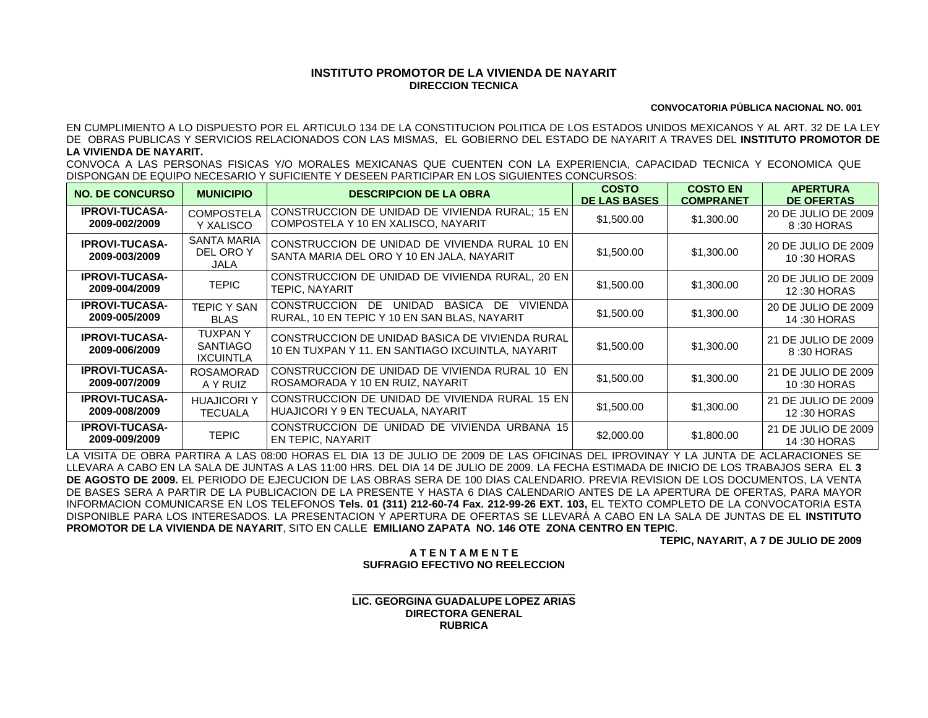## **INSTITUTO PROMOTOR DE LA VIVIENDA DE NAYARIT DIRECCION TECNICA**

## **CONVOCATORIA PÚBLICA NACIONAL NO. 001**

EN CUMPLIMIENTO A LO DISPUESTO POR EL ARTICULO 134 DE LA CONSTITUCION POLITICA DE LOS ESTADOS UNIDOS MEXICANOS Y AL ART. 32 DE LA LEY DE OBRAS PUBLICAS Y SERVICIOS RELACIONADOS CON LAS MISMAS, EL GOBIERNO DEL ESTADO DE NAYARIT A TRAVES DEL **INSTITUTO PROMOTOR DE LA VIVIENDA DE NAYARIT.**

CONVOCA A LAS PERSONAS FISICAS Y/O MORALES MEXICANAS QUE CUENTEN CON LA EXPERIENCIA, CAPACIDAD TECNICA Y ECONOMICA QUE DISPONGAN DE EQUIPO NECESARIO Y SUFICIENTE Y DESEEN PARTICIPAR EN LOS SIGUIENTES CONCURSOS:

| <b>NO. DE CONCURSO</b>                 | <b>MUNICIPIO</b>                                      | <b>DESCRIPCION DE LA OBRA</b>                                                                                           | <b>COSTO</b><br><b>DE LAS BASES</b> | <b>COSTO EN</b><br><b>COMPRANET</b> | <b>APERTURA</b><br><b>DE OFERTAS</b> |
|----------------------------------------|-------------------------------------------------------|-------------------------------------------------------------------------------------------------------------------------|-------------------------------------|-------------------------------------|--------------------------------------|
| <b>IPROVI-TUCASA-</b><br>2009-002/2009 | <b>COMPOSTELA</b><br>Y XALISCO                        | CONSTRUCCION DE UNIDAD DE VIVIENDA RURAL; 15 EN<br>COMPOSTELA Y 10 EN XALISCO, NAYARIT                                  | \$1,500.00                          | \$1,300.00                          | 20 DE JULIO DE 2009<br>8:30 HORAS    |
| <b>IPROVI-TUCASA-</b><br>2009-003/2009 | <b>SANTA MARIA</b><br>DEL ORO Y<br>JALA               | CONSTRUCCION DE UNIDAD DE VIVIENDA RURAL 10 EN<br>SANTA MARIA DEL ORO Y 10 EN JALA, NAYARIT                             | \$1,500.00                          | \$1,300.00                          | 20 DE JULIO DE 2009<br>10:30 HORAS   |
| <b>IPROVI-TUCASA-</b><br>2009-004/2009 | <b>TEPIC</b>                                          | CONSTRUCCION DE UNIDAD DE VIVIENDA RURAL, 20 EN<br>TEPIC. NAYARIT                                                       | \$1,500.00                          | \$1,300.00                          | 20 DE JULIO DE 2009<br>12:30 HORAS   |
| <b>IPROVI-TUCASA-</b><br>2009-005/2009 | <b>TEPIC Y SAN</b><br><b>BLAS</b>                     | <b>UNIDAD</b><br><b>CONSTRUCCION</b><br>BASICA<br>VIVIENDA<br>DE<br>DE.<br>RURAL, 10 EN TEPIC Y 10 EN SAN BLAS, NAYARIT | \$1,500.00                          | \$1,300.00                          | 20 DE JULIO DE 2009<br>14:30 HORAS   |
| <b>IPROVI-TUCASA-</b><br>2009-006/2009 | <b>TUXPANY</b><br><b>SANTIAGO</b><br><b>IXCUINTLA</b> | CONSTRUCCION DE UNIDAD BASICA DE VIVIENDA RURAL<br>10 EN TUXPAN Y 11. EN SANTIAGO IXCUINTLA, NAYARIT                    | \$1,500.00                          | \$1,300.00                          | 21 DE JULIO DE 2009<br>8:30 HORAS    |
| <b>IPROVI-TUCASA-</b><br>2009-007/2009 | <b>ROSAMORAD</b><br>A Y RUIZ                          | CONSTRUCCION DE UNIDAD DE VIVIENDA RURAL 10 EN<br>ROSAMORADA Y 10 EN RUIZ, NAYARIT                                      | \$1,500.00                          | \$1,300.00                          | 21 DE JULIO DE 2009<br>10:30 HORAS   |
| <b>IPROVI-TUCASA-</b><br>2009-008/2009 | <b>HUAJICORI Y</b><br><b>TECUALA</b>                  | CONSTRUCCION DE UNIDAD DE VIVIENDA RURAL 15 EN<br>HUAJICORI Y 9 EN TECUALA, NAYARIT                                     | \$1,500.00                          | \$1,300.00                          | 21 DE JULIO DE 2009<br>12:30 HORAS   |
| <b>IPROVI-TUCASA-</b><br>2009-009/2009 | <b>TEPIC</b>                                          | CONSTRUCCION DE UNIDAD DE VIVIENDA URBANA 15<br>EN TEPIC, NAYARIT                                                       | \$2,000.00                          | \$1,800.00                          | 21 DE JULIO DE 2009<br>14:30 HORAS   |

LA VISITA DE OBRA PARTIRA A LAS 08:00 HORAS EL DIA 13 DE JULIO DE 2009 DE LAS OFICINAS DEL IPROVINAY Y LA JUNTA DE ACLARACIONES SE LLEVARA A CABO EN LA SALA DE JUNTAS A LAS 11:00 HRS. DEL DIA 14 DE JULIO DE 2009. LA FECHA ESTIMADA DE INICIO DE LOS TRABAJOS SERA EL **3 DE AGOSTO DE 2009.** EL PERIODO DE EJECUCION DE LAS OBRAS SERA DE 100 DIAS CALENDARIO. PREVIA REVISION DE LOS DOCUMENTOS, LA VENTA DE BASES SERA A PARTIR DE LA PUBLICACION DE LA PRESENTE Y HASTA 6 DIAS CALENDARIO ANTES DE LA APERTURA DE OFERTAS, PARA MAYOR INFORMACION COMUNICARSE EN LOS TELEFONOS **Tels. 01 (311) 212-60-74 Fax. 212-99-26 EXT. 103,** EL TEXTO COMPLETO DE LA CONVOCATORIA ESTA DISPONIBLE PARA LOS INTERESADOS. LA PRESENTACION Y APERTURA DE OFERTAS SE LLEVARÁ A CABO EN LA SALA DE JUNTAS DE EL **INSTITUTO PROMOTOR DE LA VIVIENDA DE NAYARIT**, SITO EN CALLE **EMILIANO ZAPATA NO. 146 OTE ZONA CENTRO EN TEPIC**.

**TEPIC, NAYARIT, A 7 DE JULIO DE 2009**

## **A T E N T A M E N T E SUFRAGIO EFECTIVO NO REELECCION**

\_\_\_\_\_\_\_\_\_\_\_\_\_\_\_\_\_\_\_\_\_\_\_\_\_\_\_\_\_\_\_\_\_\_\_\_\_\_ **LIC. GEORGINA GUADALUPE LOPEZ ARIAS DIRECTORA GENERAL RUBRICA**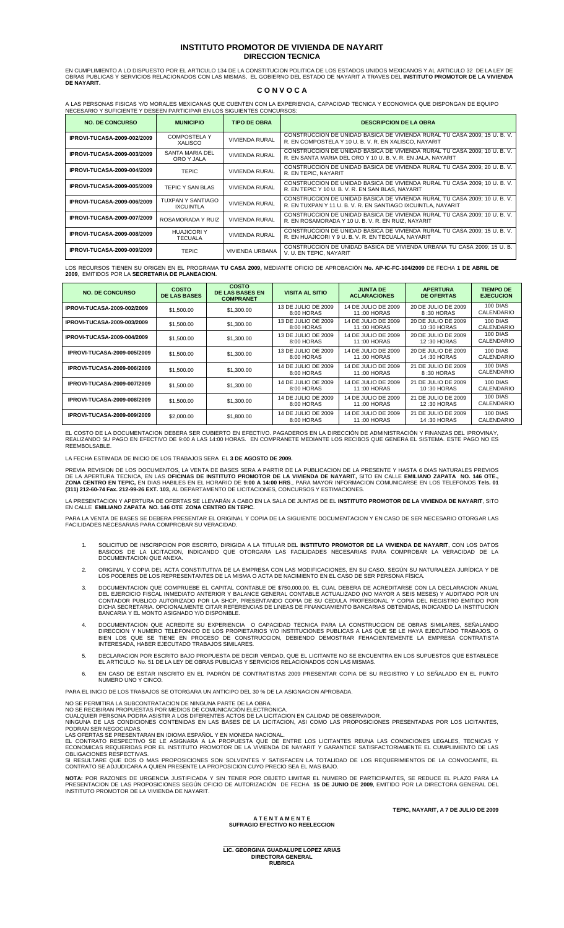## **INSTITUTO PROMOTOR DE VIVIENDA DE NAYARIT DIRECCION TECNICA**

EN CUMPLIMIENTO A LO DISPUESTO POR EL ARTICULO 134 DE LA CONSTITUCION POLITICA DE LOS ESTADOS UNIDOS MEXICANOS Y AL ARTICULO 32 DE LA LEY DE<br>OBRAS PUBLICAS Y SERVICIOS RELACIONADOS CON LAS MISMAS, EL GOBIERNO DEL ESTADO DE **DE NAYARIT.** 

# **C O N V O C A**

A LAS PERSONAS FISICAS Y/O MORALES MEXICANAS QUE CUENTEN CON LA EXPERIENCIA, CAPACIDAD TECNICA Y ECONOMICA QUE DISPONGAN DE EQUIPO<br>NECESARIO Y SUFICIENTE Y DESEEN PARTICIPAR EN LOS SIGUIENTES CONCURSOS:

|                                    | YEOEOANIO T OOI IOIENTE T DEOEEN FANTIOIFAN EN EOO OIOUIENTEO OONOONOOO. |                        |                                                                                                                                         |  |  |
|------------------------------------|--------------------------------------------------------------------------|------------------------|-----------------------------------------------------------------------------------------------------------------------------------------|--|--|
| <b>NO. DE CONCURSO</b>             | <b>MUNICIPIO</b>                                                         | <b>TIPO DE OBRA</b>    | <b>DESCRIPCION DE LA OBRA</b>                                                                                                           |  |  |
| <b>IPROVI-TUCASA-2009-002/2009</b> | <b>COMPOSTELA Y</b><br>XALISCO                                           | <b>VIVIENDA RURAL</b>  | CONSTRUCCION DE UNIDAD BASICA DE VIVIENDA RURAL TU CASA 2009; 15 U. B. V.<br>R. EN COMPOSTELA Y 10 U. B. V. R. EN XALISCO. NAYARIT      |  |  |
| <b>IPROVI-TUCASA-2009-003/2009</b> | SANTA MARIA DEL<br>ORO Y JALA                                            | <b>VIVIENDA RURAL</b>  | CONSTRUCCION DE UNIDAD BASICA DE VIVIENDA RURAL TU CASA 2009; 10 U.B. V.<br>R. EN SANTA MARIA DEL ORO Y 10 U.B. V.R. EN JALA, NAYARIT   |  |  |
| <b>IPROVI-TUCASA-2009-004/2009</b> | <b>TEPIC</b>                                                             | <b>VIVIENDA RURAL</b>  | CONSTRUCCION DE UNIDAD BASICA DE VIVIENDA RURAL TU CASA 2009; 20 U.B.V.<br>R. EN TEPIC. NAYARIT                                         |  |  |
| <b>IPROVI-TUCASA-2009-005/2009</b> | TEPIC Y SAN BLAS                                                         | <b>VIVIENDA RURAL</b>  | CONSTRUCCION DE UNIDAD BASICA DE VIVIENDA RURAL TU CASA 2009; 10 U.B.V.<br>R. EN TEPIC Y 10 U. B. V. R. EN SAN BLAS. NAYARIT            |  |  |
| <b>IPROVI-TUCASA-2009-006/2009</b> | TUXPAN Y SANTIAGO<br><b>IXCUINTLA</b>                                    | <b>VIVIENDA RURAL</b>  | CONSTRUCCION DE UNIDAD BASICA DE VIVIENDA RURAL TU CASA 2009; 10 U.B.V.<br>R. EN TUXPAN Y 11 U. B. V. R. EN SANTIAGO IXCUINTLA. NAYARIT |  |  |
| <b>IPROVI-TUCASA-2009-007/2009</b> | ROSAMORADA Y RUIZ                                                        | <b>VIVIENDA RURAL</b>  | CONSTRUCCION DE UNIDAD BASICA DE VIVIENDA RURAL TU CASA 2009; 10 U.B.V.<br>R. EN ROSAMORADA Y 10 U.B. V.R. EN RUIZ, NAYARIT             |  |  |
| <b>IPROVI-TUCASA-2009-008/2009</b> | <b>HUAJICORI Y</b><br><b>TECUALA</b>                                     | <b>VIVIENDA RURAL</b>  | CONSTRUCCION DE UNIDAD BASICA DE VIVIENDA RURAL TU CASA 2009; 15 U.B.V.<br>R. EN HUAJICORI Y 9 U. B. V. R. EN TECUALA, NAYARIT          |  |  |
| <b>IPROVI-TUCASA-2009-009/2009</b> | <b>TEPIC</b>                                                             | <b>VIVIENDA URBANA</b> | CONSTRUCCION DE UNIDAD BASICA DE VIVIENDA URBANA TU CASA 2009: 15 U. B.<br>V. U. EN TEPIC. NAYARIT                                      |  |  |

LOS RECURSOS TIENEN SU ORIGEN EN EL PROGRAMA **TU CASA 2009,** MEDIANTE OFICIO DE APROBACIÓN **No. AP-IC-FC-104/2009** DE FECHA **1 DE ABRIL DE 2009**, EMITIDOS POR LA **SECRETARIA DE PLANEACION.**

| <b>NO. DE CONCURSO</b>             | <b>COSTO</b><br><b>DE LAS BASES</b> | <b>COSTO</b><br><b>DE LAS BASES EN</b><br><b>COMPRANET</b> | <b>VISITA AL SITIO</b>            | <b>JUNTA DE</b><br><b>ACLARACIONES</b> | <b>APERTURA</b><br><b>DE OFERTAS</b> | <b>TIEMPO DE</b><br><b>EJECUCION</b> |
|------------------------------------|-------------------------------------|------------------------------------------------------------|-----------------------------------|----------------------------------------|--------------------------------------|--------------------------------------|
| IPROVI-TUCASA-2009-002/2009        | \$1,500.00                          | \$1,300.00                                                 | 13 DE JULIO DE 2009<br>8:00 HORAS | 14 DE JULIO DE 2009<br>11:00 HORAS     | 20 DE JULIO DE 2009<br>8:30 HORAS    | 100 DIAS<br>CALENDARIO               |
| IPROVI-TUCASA-2009-003/2009        | \$1,500.00                          | \$1,300.00                                                 | 13 DE JULIO DE 2009<br>8:00 HORAS | 14 DE JULIO DE 2009<br>11:00 HORAS     | 20 DE JULIO DE 2009<br>10:30 HORAS   | 100 DIAS<br>CALENDARIO               |
| <b>IPROVI-TUCASA-2009-004/2009</b> | \$1,500.00                          | \$1,300.00                                                 | 13 DE JULIO DE 2009<br>8:00 HORAS | 14 DE JULIO DE 2009<br>11:00 HORAS     | 20 DE JULIO DE 2009<br>12:30 HORAS   | 100 DIAS<br>CALENDARIO               |
| <b>IPROVI-TUCASA-2009-005/2009</b> | \$1,500.00                          | \$1,300.00                                                 | 13 DE JULIO DE 2009<br>8:00 HORAS | 14 DE JULIO DE 2009<br>11:00 HORAS     | 20 DE JULIO DE 2009<br>14:30 HORAS   | 100 DIAS<br>CALENDARIO               |
| <b>IPROVI-TUCASA-2009-006/2009</b> | \$1,500.00                          | \$1,300.00                                                 | 14 DE JULIO DE 2009<br>8:00 HORAS | 14 DE JULIO DE 2009<br>11:00 HORAS     | 21 DE JULIO DE 2009<br>8:30 HORAS    | 100 DIAS<br>CALENDARIO               |
| <b>IPROVI-TUCASA-2009-007/2009</b> | \$1,500.00                          | \$1,300.00                                                 | 14 DE JULIO DE 2009<br>8:00 HORAS | 14 DE JULIO DE 2009<br>11:00 HORAS     | 21 DE JULIO DE 2009<br>10:30 HORAS   | 100 DIAS<br>CALENDARIO               |
| <b>IPROVI-TUCASA-2009-008/2009</b> | \$1,500.00                          | \$1,300.00                                                 | 14 DE JULIO DE 2009<br>8:00 HORAS | 14 DE JULIO DE 2009<br>11:00 HORAS     | 21 DE JULIO DE 2009<br>12:30 HORAS   | 100 DIAS<br>CALENDARIO               |
| <b>IPROVI-TUCASA-2009-009/2009</b> | \$2,000,00                          | \$1,800.00                                                 | 14 DE JULIO DE 2009<br>8:00 HORAS | 14 DE JULIO DE 2009<br>11:00 HORAS     | 21 DE JULIO DE 2009<br>14:30 HORAS   | 100 DIAS<br>CALENDARIO               |

EL COSTO DE LA DOCUMENTACION DEBERA SER CUBIERTO EN EFECTIVO. PAGADEROS EN LA DIRECCION DE ADMINISTRACION Y FINANZAS DEL IPROVINAY,<br>REALIZANDO SU PAGO EN EFECTIVO DE 9:00 A LAS 14:00 HORAS. EN COMPRANETE MEDIANTE LOS RECIB

LA FECHA ESTIMADA DE INICIO DE LOS TRABAJOS SERA EL **3 DE AGOSTO DE 2009.** 

PREVIA REVISION DE LOS DOCUMENTOS, LA VENTA DE BASES SERA A PARTIR DE LA PUBLICACION DE LA PRESENTE Y HASTA 6 DIAS NATURALES PREVIOS<br>DE LA APERTURA TECNICA, EN LAS **OFICINAS DE INSTITUTO PROMOTOR DE LA VIVIENDA DE NAYARIT,** 

LA PRESENTACION Y APERTURA DE OFERTAS SE LLEVARÁN A CABO EN LA SALA DE JUNTAS DE EL **INSTITUTO PROMOTOR DE LA VIVIENDA DE NAYARIT**, SITO EN CALLE **EMILIANO ZAPATA NO. 146 OTE ZONA CENTRO EN TEPIC**.

PARA LA VENTA DE BASES SE DEBERA PRESENTAR EL ORIGINAL Y COPIA DE LA SIGUIENTE DOCUMENTACION Y EN CASO DE SER NECESARIO OTORGAR LAS<br>FACILIDADES NECESARIAS PARA COMPROBAR SU VERACIDAD.

- 1. SOLICITUD DE INSCRIPCION POR ESCRITO, DIRIGIDA A LA TITULAR DEL **INSTITUTO PROMOTOR DE LA VIVIENDA DE NAYARIT**, CON LOS DATOS<br>BASICOS DE LA LICITACION, INDICANDO QUE OTORGARA LAS FACILIDADES NECESARIAS PARA COMPROBAR LA
- 2. ORIGINAL Y COPIA DEL ACTA CONSTITUTIVA DE LA EMPRESA CON LAS MODIFICACIONES, EN SU CASO, SEGUN SU NATURALEZA JURIDICA Y DE<br>LOS PODERES DE LOS REPRESENTANTES DE LA MISMA O ACTA DE NACIMIENTO EN EL CASO DE SER PERSONA FÍS
- 3. DOCUMENTACION QUE COMPRUEBE EL CAPITAL CONTABLE DE \$750,000.00, EL CUAL DEBERA DE ACREDITARSE CON LA DECLARACION ANUAL<br>DEL EJERCICIO FISCAL INMEDIATO ANTERIOR Y BALANCE GENERAL CONTABLE ACTUALIZADO (NO MAYOR A SEIS MESE
- 4. DOCUMENTACION QUE ACREDITE SU EXPERIENCIA O CAPACIDAD TECNICA PARA LA CONSTRUCCION DE OBRAS SIMILARES, SENALANDO<br>DIRECCION Y NUMERO TELEFONICO DE LOS PROPIETARIOS Y/O INSTITUCIONES PUBLICAS A LAS QUE SE LE HAYA EJECUTAD
- 5. DECLARACION POR ESCRITO BAJO PROPUESTA DE DECIR VERDAD, QUE EL LICITANTE NO SE ENCUENTRA EN LOS SUPUESTOS QUE ESTABLECE EL ARTICULO No. 51 DE LA LEY DE OBRAS PUBLICAS Y SERVICIOS RELACIONADOS CON LAS MISMAS.
- 6. EN CASO DE ESTAR INSCRITO EN EL PADRÓN DE CONTRATISTAS 2009 PRESENTAR COPIA DE SU REGISTRO Y LO SEÑALADO EN EL PUNTO NUMERO UNO Y CINCO.

PARA EL INICIO DE LOS TRABAJOS SE OTORGARA UN ANTICIPO DEL 30 % DE LA ASIGNACION APROBADA.

NO SE PERMITIRA LA SUBCONTRATACION DE NINGUNA PARTE DE LA OBRA. NO SE RECIBIRAN PROPUESTAS POR MEDIOS DE COMUNICACIÓN ELECTRONICA.

CUALQUIER PERSONA PODRA ASISTIR A LOS DIFERENTES ACTOS DE LA LICITACION EN CALIDAD DE OBSERVADOR.<br>NINGUNA DE LAS CONDICIONES CONTENIDAS EN LAS BASES DE LA LICITACION, ASI COMO LAS PROPOSICIONES PRESENTADAS POR LOS LICITANT

PODRAN SER NEGOCIADAS.<br>LAS OFERTAS SE PRESENTARAN EN IDIOMA ESPAÑOL Y EN MONEDA NACIONAL.<br>EL CONTRATO RESPECTIVO SE LE ASIGNARA A LA PROPUESTA QUE DE ENTRE LOS LICITANTES REUNA LAS CONDICIONES LEGALES, TECNICAS Y<br>EL CONTRA

**NOTA:** POR RAZONES DE URGENCIA JUSTIFICADA Y SIN TENER POR OBJETO LIMITAR EL NUMERO DE PARTICIPANTES, SE REDUCE EL PLAZO PARA LA<br>PRESENTACION DE LAS PROPOSICIONES SEGÚN OFICIO DE AUTORIZACIÓN DE FECHA **15 DE JUNIO DE 2009** INSTITUTO PROMOTOR DE LA VIVIENDA DE NAYARIT.

#### **A T E N T A M E N T E SUFRAGIO EFECTIVO NO REELECCION**

**TEPIC, NAYARIT, A 7 DE JULIO DE 2009**

\_\_\_\_\_\_\_\_\_\_\_\_\_\_\_\_\_\_\_\_\_\_\_\_\_\_\_\_\_\_\_\_\_\_\_\_\_\_ **LIC. GEORGINA GUADALUPE LOPEZ ARIAS DIRECTORA GENERAL RUBRICA**